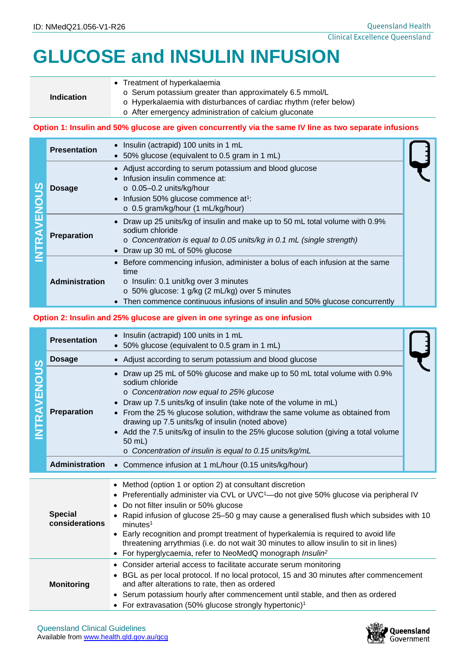# **GLUCOSE and INSULIN INFUSION**

## **Indication**

- Treatment of hyperkalaemia
	- o Serum potassium greater than approximately 6.5 mmol/L
	- o Hyperkalaemia with disturbances of cardiac rhythm (refer below)
	- o After emergency administration of calcium gluconate

#### **Option 1: Insulin and 50% glucose are given concurrently via the same IV line as two separate infusions**

|  | <b>Presentation</b>   | • Insulin (actrapid) 100 units in 1 mL<br>• 50% glucose (equivalent to 0.5 gram in 1 mL)                                                                                                                                                                               |  |
|--|-----------------------|------------------------------------------------------------------------------------------------------------------------------------------------------------------------------------------------------------------------------------------------------------------------|--|
|  | Dosage                | • Adjust according to serum potassium and blood glucose<br>Infusion insulin commence at:<br>$\circ$ 0.05-0.2 units/kg/hour<br>• Infusion 50% glucose commence $at^1$ :<br>$\circ$ 0.5 gram/kg/hour (1 mL/kg/hour)                                                      |  |
|  | <b>Preparation</b>    | • Draw up 25 units/kg of insulin and make up to 50 mL total volume with 0.9%<br>sodium chloride<br>o Concentration is equal to 0.05 units/kg in 0.1 mL (single strength)<br>• Draw up 30 mL of 50% glucose                                                             |  |
|  | <b>Administration</b> | • Before commencing infusion, administer a bolus of each infusion at the same<br>time<br>$\circ$ Insulin: 0.1 unit/kg over 3 minutes<br>o 50% glucose: 1 g/kg (2 mL/kg) over 5 minutes<br>• Then commence continuous infusions of insulin and 50% glucose concurrently |  |

#### **Option 2: Insulin and 25% glucose are given in one syringe as one infusion**

| <b>TRAVENOUS</b> | <b>Presentation</b>              | Insulin (actrapid) 100 units in 1 mL<br>$\bullet$<br>50% glucose (equivalent to 0.5 gram in 1 mL)                                                                                                                                                                                                                                                                                                                                                                                                                                                                                       |  |  |  |
|------------------|----------------------------------|-----------------------------------------------------------------------------------------------------------------------------------------------------------------------------------------------------------------------------------------------------------------------------------------------------------------------------------------------------------------------------------------------------------------------------------------------------------------------------------------------------------------------------------------------------------------------------------------|--|--|--|
|                  | <b>Dosage</b>                    | • Adjust according to serum potassium and blood glucose                                                                                                                                                                                                                                                                                                                                                                                                                                                                                                                                 |  |  |  |
|                  | <b>Preparation</b>               | Draw up 25 mL of 50% glucose and make up to 50 mL total volume with 0.9%<br>$\bullet$<br>sodium chloride<br>o Concentration now equal to 25% glucose<br>Draw up 7.5 units/kg of insulin (take note of the volume in mL)<br>From the 25 % glucose solution, withdraw the same volume as obtained from<br>drawing up 7.5 units/kg of insulin (noted above)<br>Add the 7.5 units/kg of insulin to the 25% glucose solution (giving a total volume<br>$\bullet$<br>50 mL)<br>o Concentration of insulin is equal to 0.15 units/kg/mL                                                        |  |  |  |
|                  | <b>Administration</b>            | Commence infusion at 1 mL/hour (0.15 units/kg/hour)<br>$\bullet$                                                                                                                                                                                                                                                                                                                                                                                                                                                                                                                        |  |  |  |
|                  | <b>Special</b><br>considerations | • Method (option 1 or option 2) at consultant discretion<br>Preferentially administer via CVL or UVC <sup>1</sup> -do not give 50% glucose via peripheral IV<br>$\bullet$<br>Do not filter insulin or 50% glucose<br>Rapid infusion of glucose 25-50 g may cause a generalised flush which subsides with 10<br>minutes <sup>1</sup><br>Early recognition and prompt treatment of hyperkalemia is required to avoid life<br>threatening arrythmias (i.e. do not wait 30 minutes to allow insulin to sit in lines)<br>For hyperglycaemia, refer to NeoMedQ monograph Insulin <sup>2</sup> |  |  |  |
|                  | <b>Monitoring</b>                | • Consider arterial access to facilitate accurate serum monitoring<br>• BGL as per local protocol. If no local protocol, 15 and 30 minutes after commencement<br>and after alterations to rate, then as ordered<br>Serum potassium hourly after commencement until stable, and then as ordered<br>• For extravasation (50% glucose strongly hypertonic) <sup>1</sup>                                                                                                                                                                                                                    |  |  |  |

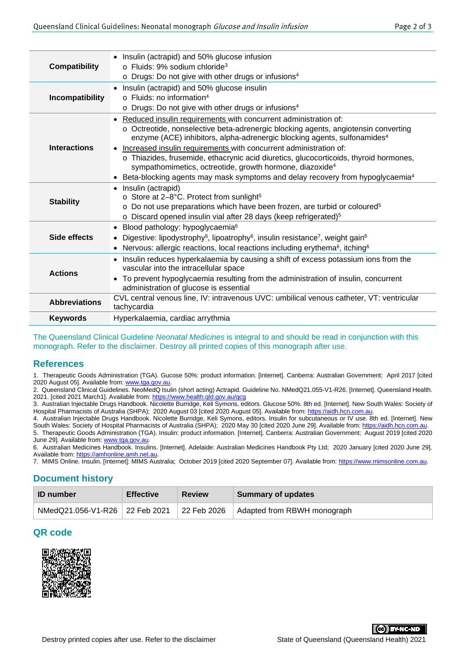| <b>Compatibility</b> | • Insulin (actrapid) and 50% glucose infusion<br>$\circ$ Fluids: 9% sodium chloride <sup>3</sup><br>o Drugs: Do not give with other drugs or infusions <sup>4</sup>                                                                                                                                                                                                                                                                                                                                                                                                                    |  |  |  |
|----------------------|----------------------------------------------------------------------------------------------------------------------------------------------------------------------------------------------------------------------------------------------------------------------------------------------------------------------------------------------------------------------------------------------------------------------------------------------------------------------------------------------------------------------------------------------------------------------------------------|--|--|--|
| Incompatibility      | • Insulin (actrapid) and 50% glucose insulin<br>$\circ$ Fluids: no information <sup>4</sup><br>o Drugs: Do not give with other drugs or infusions <sup>4</sup>                                                                                                                                                                                                                                                                                                                                                                                                                         |  |  |  |
| <b>Interactions</b>  | • Reduced insulin requirements with concurrent administration of:<br>o Octreotide, nonselective beta-adrenergic blocking agents, angiotensin converting<br>enzyme (ACE) inhibitors, alpha-adrenergic blocking agents, sulfonamides <sup>4</sup><br>• Increased insulin requirements with concurrent administration of:<br>o Thiazides, frusemide, ethacrynic acid diuretics, glucocorticoids, thyroid hormones,<br>sympathomimetics, octreotide, growth hormone, diazoxide <sup>4</sup><br>• Beta-blocking agents may mask symptoms and delay recovery from hypoglycaemia <sup>4</sup> |  |  |  |
| <b>Stability</b>     | • Insulin (actrapid)<br>○ Store at 2-8°C. Protect from sunlight <sup>5</sup><br>o Do not use preparations which have been frozen, are turbid or coloured <sup>5</sup><br>o Discard opened insulin vial after 28 days (keep refrigerated) <sup>5</sup>                                                                                                                                                                                                                                                                                                                                  |  |  |  |
| Side effects         | • Blood pathology: hypoglycaemia <sup>6</sup><br>Digestive: lipodystrophy <sup>6</sup> , lipoatrophy <sup>6</sup> , insulin resistance <sup>7</sup> , weight gain <sup>6</sup><br>• Nervous: allergic reactions, local reactions including erythema <sup>6</sup> , itching <sup>6</sup>                                                                                                                                                                                                                                                                                                |  |  |  |
| <b>Actions</b>       | • Insulin reduces hyperkalaemia by causing a shift of excess potassium ions from the<br>vascular into the intracellular space<br>• To prevent hypoglycaemia resulting from the administration of insulin, concurrent<br>administration of glucose is essential                                                                                                                                                                                                                                                                                                                         |  |  |  |
| <b>Abbreviations</b> | CVL central venous line, IV: intravenous UVC: umbilical venous catheter, VT: ventricular<br>tachycardia                                                                                                                                                                                                                                                                                                                                                                                                                                                                                |  |  |  |
| <b>Keywords</b>      | Hyperkalaemia, cardiac arrythmia                                                                                                                                                                                                                                                                                                                                                                                                                                                                                                                                                       |  |  |  |

The Queensland Clinical Guideline *Neonatal Medicines* is integral to and should be read in conjunction with this monograph. Refer to the disclaimer. Destroy all printed copies of this monograph after use.

#### **References**

1. Therapeutic Goods Administration (TGA). Gucose 50%: product information. [Internet]. Canberra: Australian Government; April 2017 [cited 2020 August 05]. Available from: www.tga.gov.au.

2. Queensland Clinical Guidelines. NeoMedQ Isulin (short acting) Actrapid. Guideline No. NMedQ21.055-V1-R26. [Internet]. Queensland Health. 2021. [cited 2021 March1]. Available from[: https://www.health.qld.gov.au/qcg](https://www.health.qld.gov.au/qcg)

3. Australian Injectable Drugs Handbook. Nicolette Burridge, Keli Symons, editors. Glucose 50%. 8th ed. [Internet]. New South Wales: Society of Hospital Pharmacists of Australia (SHPA); 2020 August 03 [cited 2020 August 05]. Available from: https://aidh.hcn.com.au

4. Australian Injectable Drugs Handbook. Nicolette Burridge, Keli Symons, editors. Insulin for subcutaneous or IV use. 8th ed. [Internet]. New South Wales: Society of Hospital Pharmacists of Australia (SHPA); 2020 May 30 [cited 2020 June 29]. Available from: https://aidh.hcn.com 5. Therapeutic Goods Administration (TGA). Insulin: product information. [Internet]. Canberra: Australian Government; August 2019 [cited 2020

June 29]. Available from: www.tga.gov.au 6. Australian Medicines Handbook. Insulins. [Internet]. Adelaide: Australian Medicines Handbook Pty Ltd; 2020 January [cited 2020 June 29]. Available from[: https://amhonline.amh.net.au.](https://amhonline.amh.net.au/)

7. MIMS Online. Insulin. [Internet]: MIMS Australia; October 2019 [cited 2020 September 07]. Available from: [https://www.mimsonline.com.au.](https://www.mimsonline.com.au/)

## **Document history**

| <b>ID</b> number               | <b>Effective</b> | <b>Review</b> | <b>Summary of updates</b>   |
|--------------------------------|------------------|---------------|-----------------------------|
| NMedQ21.056-V1-R26 22 Feb 2021 |                  | 22 Feb 2026   | Adapted from RBWH monograph |

## **QR code**